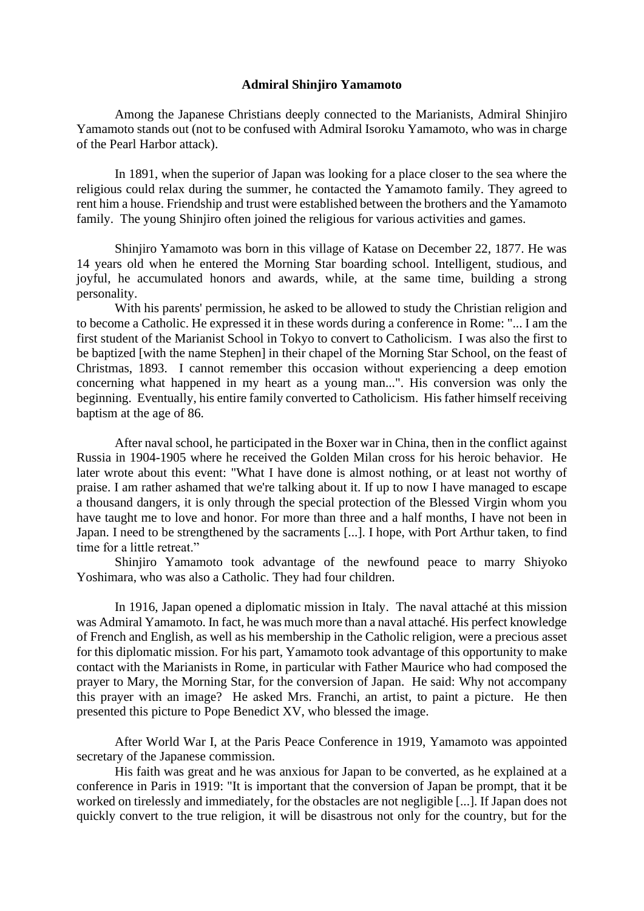## **Admiral Shinjiro Yamamoto**

Among the Japanese Christians deeply connected to the Marianists, Admiral Shinjiro Yamamoto stands out (not to be confused with Admiral Isoroku Yamamoto, who was in charge of the Pearl Harbor attack).

In 1891, when the superior of Japan was looking for a place closer to the sea where the religious could relax during the summer, he contacted the Yamamoto family. They agreed to rent him a house. Friendship and trust were established between the brothers and the Yamamoto family. The young Shinjiro often joined the religious for various activities and games.

Shinjiro Yamamoto was born in this village of Katase on December 22, 1877. He was 14 years old when he entered the Morning Star boarding school. Intelligent, studious, and joyful, he accumulated honors and awards, while, at the same time, building a strong personality.

With his parents' permission, he asked to be allowed to study the Christian religion and to become a Catholic. He expressed it in these words during a conference in Rome: "... I am the first student of the Marianist School in Tokyo to convert to Catholicism. I was also the first to be baptized [with the name Stephen] in their chapel of the Morning Star School, on the feast of Christmas, 1893. I cannot remember this occasion without experiencing a deep emotion concerning what happened in my heart as a young man...". His conversion was only the beginning. Eventually, his entire family converted to Catholicism. His father himself receiving baptism at the age of 86.

After naval school, he participated in the Boxer war in China, then in the conflict against Russia in 1904-1905 where he received the Golden Milan cross for his heroic behavior. He later wrote about this event: "What I have done is almost nothing, or at least not worthy of praise. I am rather ashamed that we're talking about it. If up to now I have managed to escape a thousand dangers, it is only through the special protection of the Blessed Virgin whom you have taught me to love and honor. For more than three and a half months, I have not been in Japan. I need to be strengthened by the sacraments [...]. I hope, with Port Arthur taken, to find time for a little retreat."

Shinjiro Yamamoto took advantage of the newfound peace to marry Shiyoko Yoshimara, who was also a Catholic. They had four children.

In 1916, Japan opened a diplomatic mission in Italy. The naval attaché at this mission was Admiral Yamamoto. In fact, he was much more than a naval attaché. His perfect knowledge of French and English, as well as his membership in the Catholic religion, were a precious asset for this diplomatic mission. For his part, Yamamoto took advantage of this opportunity to make contact with the Marianists in Rome, in particular with Father Maurice who had composed the prayer to Mary, the Morning Star, for the conversion of Japan. He said: Why not accompany this prayer with an image? He asked Mrs. Franchi, an artist, to paint a picture. He then presented this picture to Pope Benedict XV, who blessed the image.

After World War I, at the Paris Peace Conference in 1919, Yamamoto was appointed secretary of the Japanese commission.

His faith was great and he was anxious for Japan to be converted, as he explained at a conference in Paris in 1919: "It is important that the conversion of Japan be prompt, that it be worked on tirelessly and immediately, for the obstacles are not negligible [...]. If Japan does not quickly convert to the true religion, it will be disastrous not only for the country, but for the